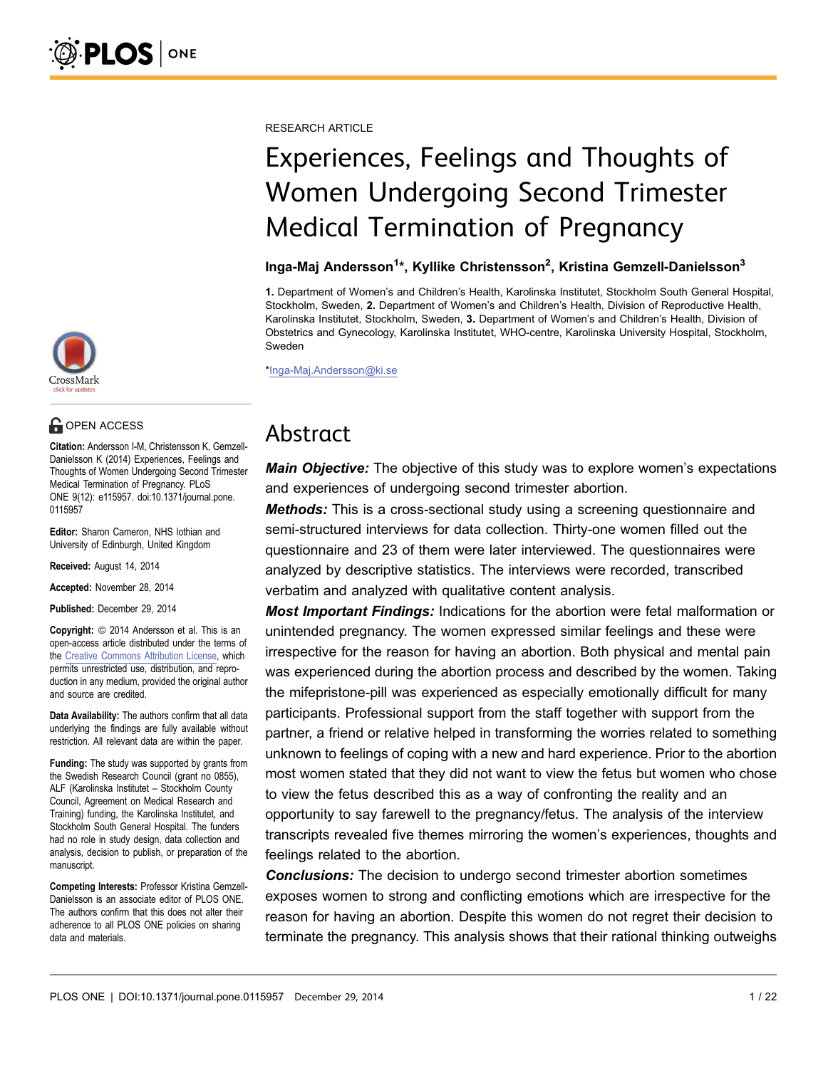RESEARCH ARTICLE

# Experiences, Feelings and Thoughts of Women Undergoing Second Trimester Medical Termination of Pregnancy

#### Inga-Maj Andersson<sup>1</sup>\*, Kyllike Christensson<sup>2</sup>, Kristina Gemzell-Danielsson<sup>3</sup>

1. Department of Women's and Children's Health, Karolinska Institutet, Stockholm South General Hospital, Stockholm, Sweden, 2. Department of Women's and Children's Health, Division of Reproductive Health, Karolinska Institutet, Stockholm, Sweden, 3. Department of Women's and Children's Health, Division of Obstetrics and Gynecology, Karolinska Institutet, WHO-centre, Karolinska University Hospital, Stockholm, Sweden

\*Inga-Maj.Andersson@ki.se

# Abstract

**Main Objective:** The objective of this study was to explore women's expectations and experiences of undergoing second trimester abortion.

**Methods:** This is a cross-sectional study using a screening questionnaire and semi-structured interviews for data collection. Thirty-one women filled out the questionnaire and 23 of them were later interviewed. The questionnaires were analyzed by descriptive statistics. The interviews were recorded, transcribed verbatim and analyzed with qualitative content analysis.

**Most Important Findings:** Indications for the abortion were fetal malformation or unintended pregnancy. The women expressed similar feelings and these were irrespective for the reason for having an abortion. Both physical and mental pain was experienced during the abortion process and described by the women. Taking the mifepristone-pill was experienced as especially emotionally difficult for many participants. Professional support from the staff together with support from the partner, a friend or relative helped in transforming the worries related to something unknown to feelings of coping with a new and hard experience. Prior to the abortion most women stated that they did not want to view the fetus but women who chose to view the fetus described this as a way of confronting the reality and an opportunity to say farewell to the pregnancy/fetus. The analysis of the interview transcripts revealed five themes mirroring the women's experiences, thoughts and feelings related to the abortion.

Conclusions: The decision to undergo second trimester abortion sometimes exposes women to strong and conflicting emotions which are irrespective for the reason for having an abortion. Despite this women do not regret their decision to terminate the pregnancy. This analysis shows that their rational thinking outweighs



#### **G** OPEN ACCESS

Citation: Andersson I-M, Christensson K, Gemzell-Danielsson K (2014) Experiences, Feelings and Thoughts of Women Undergoing Second Trimester Medical Termination of Pregnancy. PLoS ONE 9(12): e115957. doi:10.1371/journal.pone. 0115957

Editor: Sharon Cameron, NHS lothian and University of Edinburgh, United Kingdom

Received: August 14, 2014

Accepted: November 28, 2014

Published: December 29, 2014

**Copyright:** © 2014 Andersson et al. This is an open-access article distributed under the terms of the [Creative Commons Attribution License](http://creativecommons.org/licenses/by/4.0/), which permits unrestricted use, distribution, and reproduction in any medium, provided the original author and source are credited.

Data Availability: The authors confirm that all data underlying the findings are fully available without restriction. All relevant data are within the paper.

Funding: The study was supported by grants from the Swedish Research Council (grant no 0855), ALF (Karolinska Institutet – Stockholm County Council, Agreement on Medical Research and Training) funding, the Karolinska Institutet, and Stockholm South General Hospital. The funders had no role in study design, data collection and analysis, decision to publish, or preparation of the manuscript.

Competing Interests: Professor Kristina Gemzell-Danielsson is an associate editor of PLOS ONE. The authors confirm that this does not alter their adherence to all PLOS ONE policies on sharing data and materials.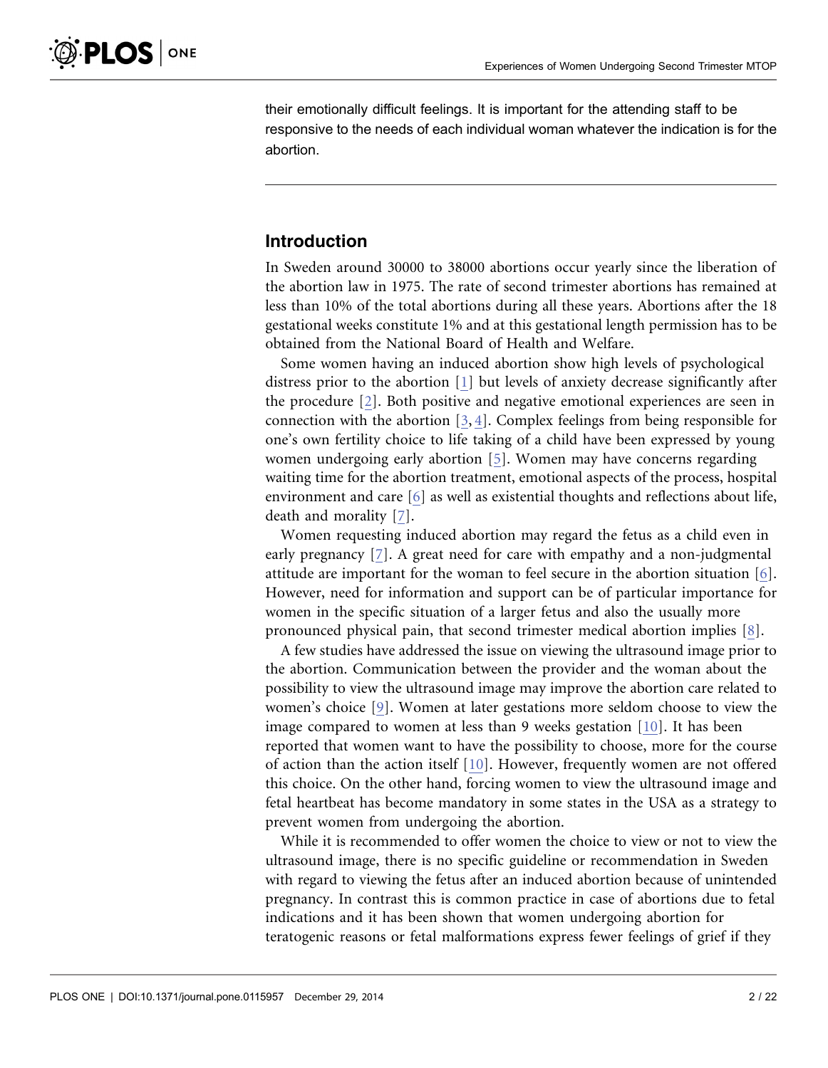their emotionally difficult feelings. It is important for the attending staff to be responsive to the needs of each individual woman whatever the indication is for the abortion.

### Introduction

In Sweden around 30000 to 38000 abortions occur yearly since the liberation of the abortion law in 1975. The rate of second trimester abortions has remained at less than 10% of the total abortions during all these years. Abortions after the 18 gestational weeks constitute 1% and at this gestational length permission has to be obtained from the National Board of Health and Welfare.

Some women having an induced abortion show high levels of psychological distress prior to the abortion [\[1\]](#page-20-0) but levels of anxiety decrease significantly after the procedure [\[2\]](#page-20-0). Both positive and negative emotional experiences are seen in connection with the abortion [\[3,](#page-20-0) [4\]](#page-20-0). Complex feelings from being responsible for one's own fertility choice to life taking of a child have been expressed by young women undergoing early abortion [\[5\].](#page-20-0) Women may have concerns regarding waiting time for the abortion treatment, emotional aspects of the process, hospital environment and care [\[6\]](#page-20-0) as well as existential thoughts and reflections about life, death and morality [\[7\].](#page-20-0)

Women requesting induced abortion may regard the fetus as a child even in early pregnancy [\[7\].](#page-20-0) A great need for care with empathy and a non-judgmental attitude are important for the woman to feel secure in the abortion situation [\[6\]](#page-20-0). However, need for information and support can be of particular importance for women in the specific situation of a larger fetus and also the usually more pronounced physical pain, that second trimester medical abortion implies [\[8\].](#page-20-0)

A few studies have addressed the issue on viewing the ultrasound image prior to the abortion. Communication between the provider and the woman about the possibility to view the ultrasound image may improve the abortion care related to women's choice [\[9\]](#page-20-0). Women at later gestations more seldom choose to view the image compared to women at less than 9 weeks gestation [\[10\]](#page-20-0). It has been reported that women want to have the possibility to choose, more for the course of action than the action itself [\[10\]](#page-20-0). However, frequently women are not offered this choice. On the other hand, forcing women to view the ultrasound image and fetal heartbeat has become mandatory in some states in the USA as a strategy to prevent women from undergoing the abortion.

While it is recommended to offer women the choice to view or not to view the ultrasound image, there is no specific guideline or recommendation in Sweden with regard to viewing the fetus after an induced abortion because of unintended pregnancy. In contrast this is common practice in case of abortions due to fetal indications and it has been shown that women undergoing abortion for teratogenic reasons or fetal malformations express fewer feelings of grief if they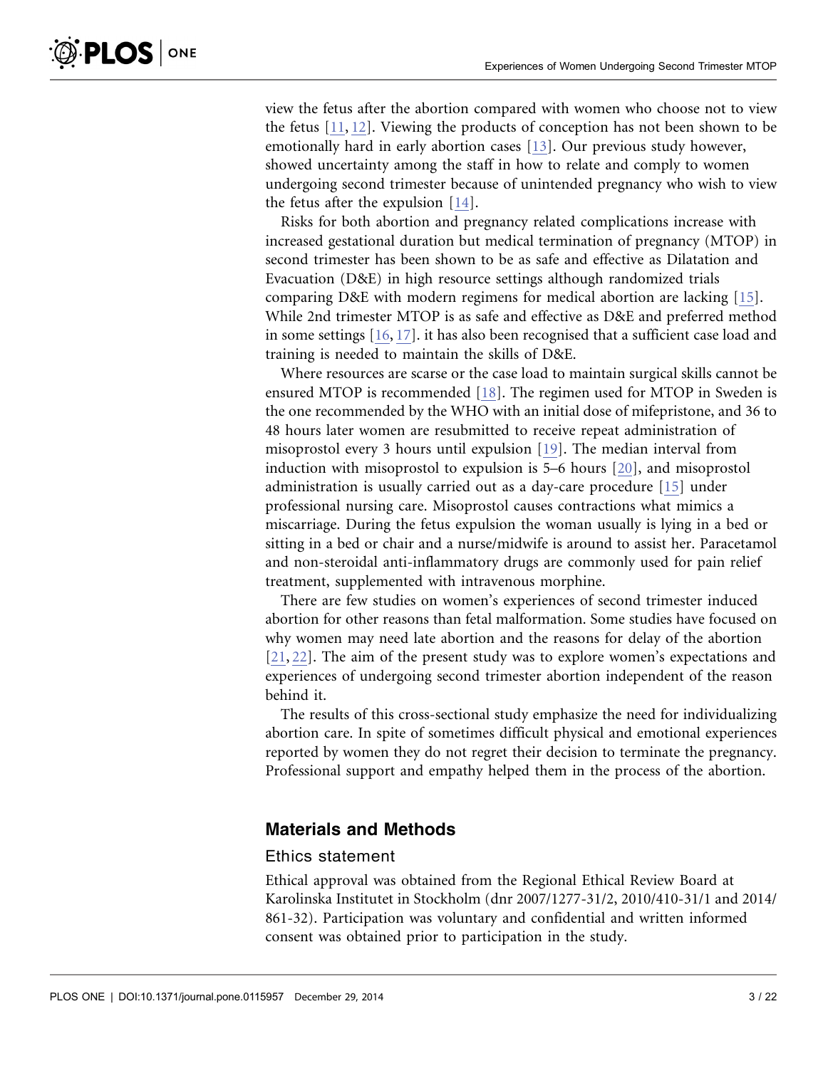view the fetus after the abortion compared with women who choose not to view the fetus [\[11,](#page-20-0) [12\]](#page-20-0). Viewing the products of conception has not been shown to be emotionally hard in early abortion cases [\[13\].](#page-20-0) Our previous study however, showed uncertainty among the staff in how to relate and comply to women undergoing second trimester because of unintended pregnancy who wish to view the fetus after the expulsion [\[14\]](#page-20-0).

Risks for both abortion and pregnancy related complications increase with increased gestational duration but medical termination of pregnancy (MTOP) in second trimester has been shown to be as safe and effective as Dilatation and Evacuation (D&E) in high resource settings although randomized trials comparing D&E with modern regimens for medical abortion are lacking [\[15\]](#page-20-0). While 2nd trimester MTOP is as safe and effective as D&E and preferred method in some settings [\[16,](#page-20-0) [17\]](#page-20-0). it has also been recognised that a sufficient case load and training is needed to maintain the skills of D&E.

Where resources are scarse or the case load to maintain surgical skills cannot be ensured MTOP is recommended [\[18\]](#page-20-0). The regimen used for MTOP in Sweden is the one recommended by the WHO with an initial dose of mifepristone, and 36 to 48 hours later women are resubmitted to receive repeat administration of misoprostol every 3 hours until expulsion [\[19\].](#page-21-0) The median interval from induction with misoprostol to expulsion is 5–6 hours [\[20\]](#page-21-0), and misoprostol administration is usually carried out as a day-care procedure [\[15\]](#page-20-0) under professional nursing care. Misoprostol causes contractions what mimics a miscarriage. During the fetus expulsion the woman usually is lying in a bed or sitting in a bed or chair and a nurse/midwife is around to assist her. Paracetamol and non-steroidal anti-inflammatory drugs are commonly used for pain relief treatment, supplemented with intravenous morphine.

There are few studies on women's experiences of second trimester induced abortion for other reasons than fetal malformation. Some studies have focused on why women may need late abortion and the reasons for delay of the abortion [\[21,](#page-21-0) [22\]](#page-21-0). The aim of the present study was to explore women's expectations and experiences of undergoing second trimester abortion independent of the reason behind it.

The results of this cross-sectional study emphasize the need for individualizing abortion care. In spite of sometimes difficult physical and emotional experiences reported by women they do not regret their decision to terminate the pregnancy. Professional support and empathy helped them in the process of the abortion.

#### Materials and Methods

#### Ethics statement

Ethical approval was obtained from the Regional Ethical Review Board at Karolinska Institutet in Stockholm (dnr 2007/1277-31/2, 2010/410-31/1 and 2014/ 861-32). Participation was voluntary and confidential and written informed consent was obtained prior to participation in the study.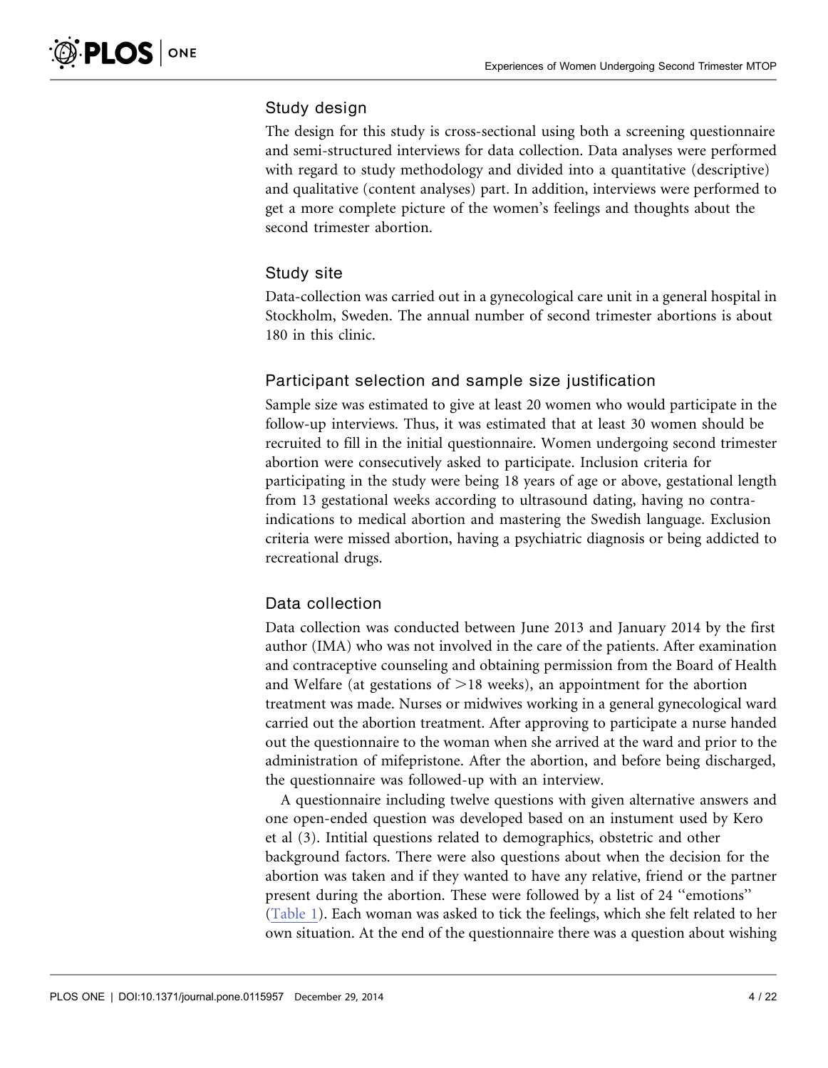### Study design

The design for this study is cross-sectional using both a screening questionnaire and semi-structured interviews for data collection. Data analyses were performed with regard to study methodology and divided into a quantitative (descriptive) and qualitative (content analyses) part. In addition, interviews were performed to get a more complete picture of the women's feelings and thoughts about the second trimester abortion.

## Study site

Data-collection was carried out in a gynecological care unit in a general hospital in Stockholm, Sweden. The annual number of second trimester abortions is about 180 in this clinic.

## Participant selection and sample size justification

Sample size was estimated to give at least 20 women who would participate in the follow-up interviews. Thus, it was estimated that at least 30 women should be recruited to fill in the initial questionnaire. Women undergoing second trimester abortion were consecutively asked to participate. Inclusion criteria for participating in the study were being 18 years of age or above, gestational length from 13 gestational weeks according to ultrasound dating, having no contraindications to medical abortion and mastering the Swedish language. Exclusion criteria were missed abortion, having a psychiatric diagnosis or being addicted to recreational drugs.

#### Data collection

Data collection was conducted between June 2013 and January 2014 by the first author (IMA) who was not involved in the care of the patients. After examination and contraceptive counseling and obtaining permission from the Board of Health and Welfare (at gestations of  $>18$  weeks), an appointment for the abortion treatment was made. Nurses or midwives working in a general gynecological ward carried out the abortion treatment. After approving to participate a nurse handed out the questionnaire to the woman when she arrived at the ward and prior to the administration of mifepristone. After the abortion, and before being discharged, the questionnaire was followed-up with an interview.

A questionnaire including twelve questions with given alternative answers and one open-ended question was developed based on an instument used by Kero et al (3). Intitial questions related to demographics, obstetric and other background factors. There were also questions about when the decision for the abortion was taken and if they wanted to have any relative, friend or the partner present during the abortion. These were followed by a list of 24 ''emotions'' ([Table 1](#page-4-0)). Each woman was asked to tick the feelings, which she felt related to her own situation. At the end of the questionnaire there was a question about wishing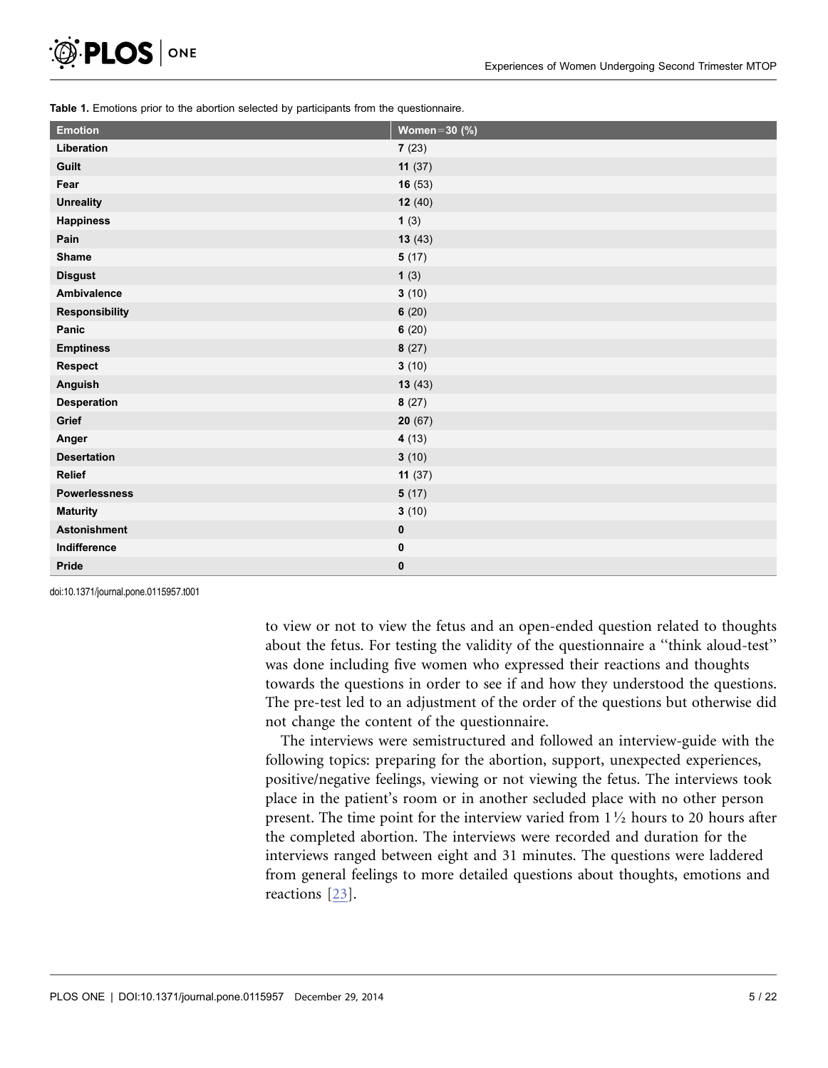# <span id="page-4-0"></span> $\mathsf{PLOS}$  one

| <b>Emotion</b>        | Women=30 (%) |
|-----------------------|--------------|
| Liberation            | 7(23)        |
| Guilt                 | 11(37)       |
| Fear                  | 16(53)       |
| <b>Unreality</b>      | 12(40)       |
| <b>Happiness</b>      | 1(3)         |
| Pain                  | 13(43)       |
| <b>Shame</b>          | 5(17)        |
| <b>Disgust</b>        | 1(3)         |
| Ambivalence           | 3(10)        |
| <b>Responsibility</b> | 6(20)        |
| Panic                 | 6(20)        |
| <b>Emptiness</b>      | 8(27)        |
| Respect               | 3(10)        |
| Anguish               | 13(43)       |
| <b>Desperation</b>    | 8(27)        |
| Grief                 | 20(67)       |
| Anger                 | 4(13)        |
| <b>Desertation</b>    | 3(10)        |
| <b>Relief</b>         | 11(37)       |
| <b>Powerlessness</b>  | 5(17)        |
| <b>Maturity</b>       | 3(10)        |
| <b>Astonishment</b>   | $\pmb{0}$    |
| Indifference          | $\pmb{0}$    |
| Pride                 | $\pmb{0}$    |

Table 1. Emotions prior to the abortion selected by participants from the questionnaire.

doi:10.1371/journal.pone.0115957.t001

to view or not to view the fetus and an open-ended question related to thoughts about the fetus. For testing the validity of the questionnaire a ''think aloud-test'' was done including five women who expressed their reactions and thoughts towards the questions in order to see if and how they understood the questions. The pre-test led to an adjustment of the order of the questions but otherwise did not change the content of the questionnaire.

The interviews were semistructured and followed an interview-guide with the following topics: preparing for the abortion, support, unexpected experiences, positive/negative feelings, viewing or not viewing the fetus. The interviews took place in the patient's room or in another secluded place with no other person present. The time point for the interview varied from  $1\frac{1}{2}$  hours to 20 hours after the completed abortion. The interviews were recorded and duration for the interviews ranged between eight and 31 minutes. The questions were laddered from general feelings to more detailed questions about thoughts, emotions and reactions [\[23\]](#page-21-0).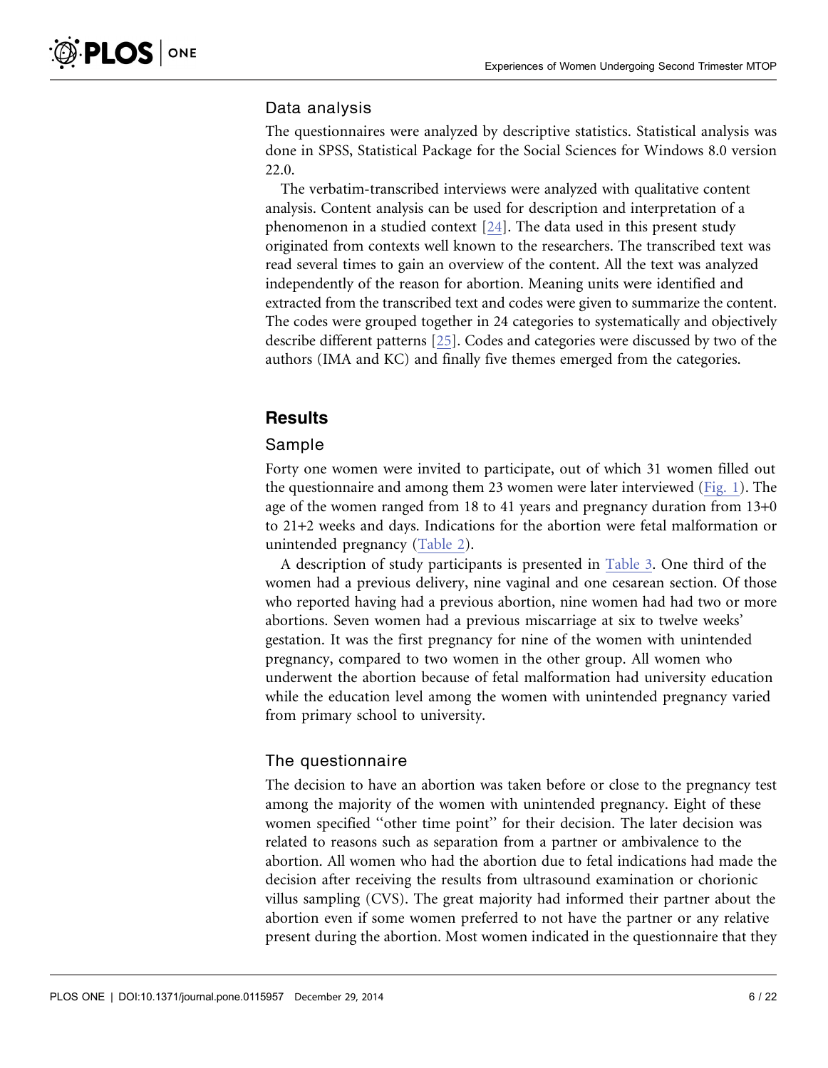#### Data analysis

The questionnaires were analyzed by descriptive statistics. Statistical analysis was done in SPSS, Statistical Package for the Social Sciences for Windows 8.0 version 22.0.

The verbatim-transcribed interviews were analyzed with qualitative content analysis. Content analysis can be used for description and interpretation of a phenomenon in a studied context [\[24\].](#page-21-0) The data used in this present study originated from contexts well known to the researchers. The transcribed text was read several times to gain an overview of the content. All the text was analyzed independently of the reason for abortion. Meaning units were identified and extracted from the transcribed text and codes were given to summarize the content. The codes were grouped together in 24 categories to systematically and objectively describe different patterns [\[25\]](#page-21-0). Codes and categories were discussed by two of the authors (IMA and KC) and finally five themes emerged from the categories.

## **Results**

#### Sample

Forty one women were invited to participate, out of which 31 women filled out the questionnaire and among them 23 women were later interviewed ([Fig. 1](#page-6-0)). The age of the women ranged from 18 to 41 years and pregnancy duration from 13+0 to 21+2 weeks and days. Indications for the abortion were fetal malformation or unintended pregnancy [\(Table 2\)](#page-6-0).

A description of study participants is presented in [Table 3.](#page-7-0) One third of the women had a previous delivery, nine vaginal and one cesarean section. Of those who reported having had a previous abortion, nine women had had two or more abortions. Seven women had a previous miscarriage at six to twelve weeks' gestation. It was the first pregnancy for nine of the women with unintended pregnancy, compared to two women in the other group. All women who underwent the abortion because of fetal malformation had university education while the education level among the women with unintended pregnancy varied from primary school to university.

#### The questionnaire

The decision to have an abortion was taken before or close to the pregnancy test among the majority of the women with unintended pregnancy. Eight of these women specified ''other time point'' for their decision. The later decision was related to reasons such as separation from a partner or ambivalence to the abortion. All women who had the abortion due to fetal indications had made the decision after receiving the results from ultrasound examination or chorionic villus sampling (CVS). The great majority had informed their partner about the abortion even if some women preferred to not have the partner or any relative present during the abortion. Most women indicated in the questionnaire that they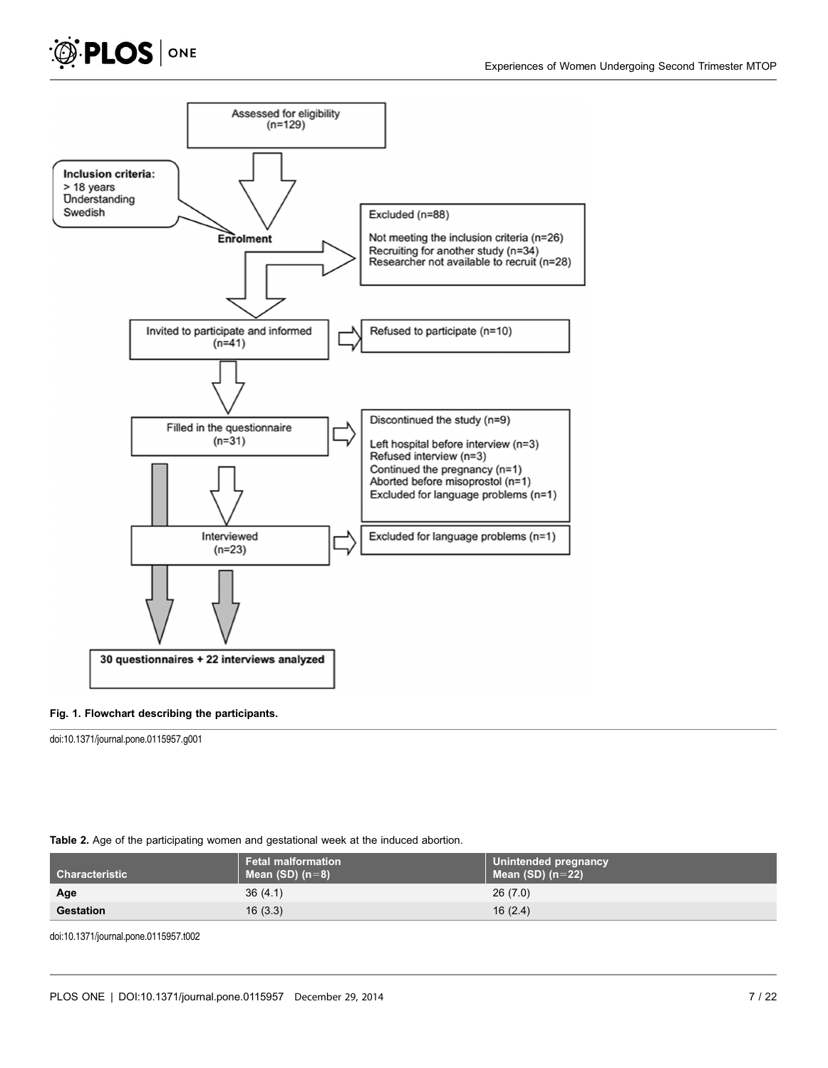<span id="page-6-0"></span>



#### Fig. 1. Flowchart describing the participants.

doi:10.1371/journal.pone.0115957.g001

|  | Table 2. Age of the participating women and gestational week at the induced abortion. |
|--|---------------------------------------------------------------------------------------|
|--|---------------------------------------------------------------------------------------|

| Characteristic | <b>Fetal malformation</b><br>Mean (SD) $(n=8)$ | Unintended pregnancy<br>Mean (SD) ( $n=22$ ) |
|----------------|------------------------------------------------|----------------------------------------------|
| Age            | 36(4.1)                                        | 26(7.0)                                      |
| Gestation      | 16(3.3)                                        | 16(2.4)                                      |

doi:10.1371/journal.pone.0115957.t002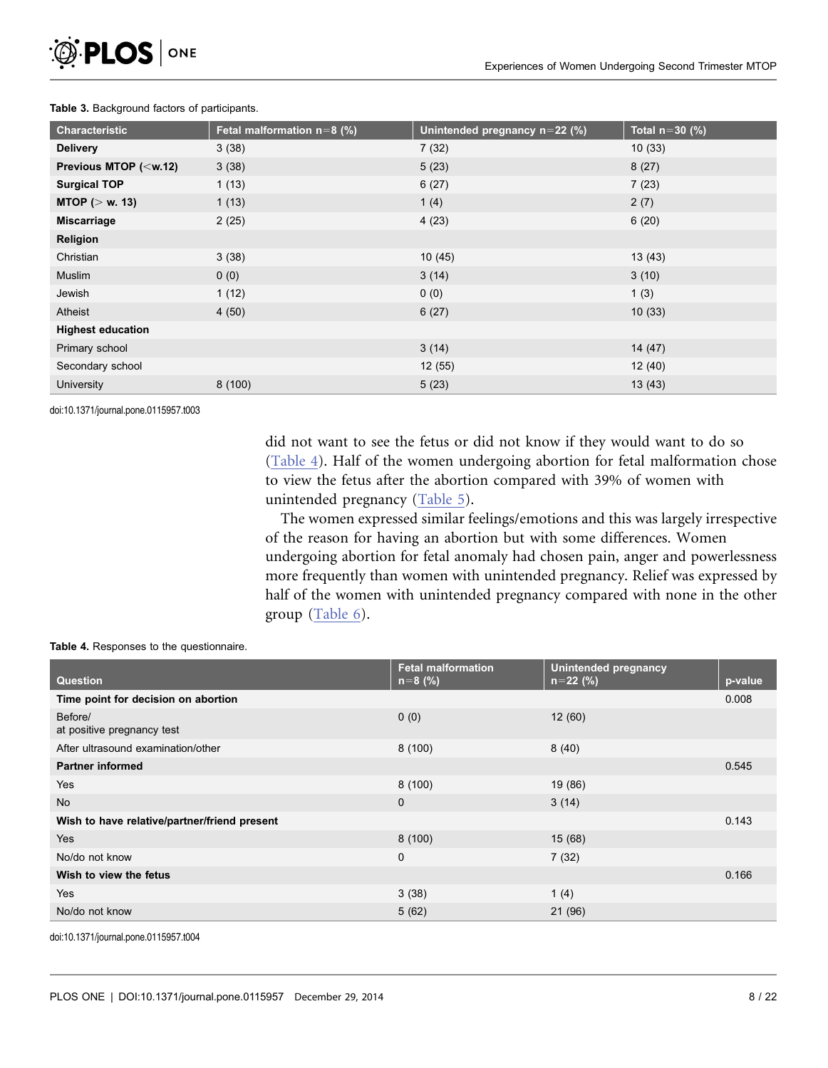| <b>Characteristic</b>                                                             | Fetal malformation $n=8$ (%) | Unintended pregnancy $n=22$ (%) | Total $n = 30$ (%) |
|-----------------------------------------------------------------------------------|------------------------------|---------------------------------|--------------------|
| <b>Delivery</b>                                                                   | 3(38)                        | 7(32)                           | 10(33)             |
| Previous MTOP ( <w.12)< td=""><td>3(38)</td><td>5(23)</td><td>8(27)</td></w.12)<> | 3(38)                        | 5(23)                           | 8(27)              |
| <b>Surgical TOP</b>                                                               | 1(13)                        | 6(27)                           | 7(23)              |
| <b>MTOP</b> ( $>$ w. 13)                                                          | 1(13)                        | 1(4)                            | 2(7)               |
| <b>Miscarriage</b>                                                                | 2(25)                        | 4(23)                           | 6(20)              |
| <b>Religion</b>                                                                   |                              |                                 |                    |
| Christian                                                                         | 3(38)                        | 10(45)                          | 13(43)             |
| Muslim                                                                            | 0(0)                         | 3(14)                           | 3(10)              |
| Jewish                                                                            | 1(12)                        | 0(0)                            | 1(3)               |
| Atheist                                                                           | 4(50)                        | 6(27)                           | 10(33)             |
| <b>Highest education</b>                                                          |                              |                                 |                    |
| Primary school                                                                    |                              | 3(14)                           | 14(47)             |
| Secondary school                                                                  |                              | 12(55)                          | 12(40)             |
| <b>University</b>                                                                 | 8(100)                       | 5(23)                           | 13(43)             |

<span id="page-7-0"></span>Table 3. Background factors of participants.

doi:10.1371/journal.pone.0115957.t003

did not want to see the fetus or did not know if they would want to do so (Table 4). Half of the women undergoing abortion for fetal malformation chose to view the fetus after the abortion compared with 39% of women with unintended pregnancy [\(Table 5\)](#page-8-0).

The women expressed similar feelings/emotions and this was largely irrespective of the reason for having an abortion but with some differences. Women undergoing abortion for fetal anomaly had chosen pain, anger and powerlessness more frequently than women with unintended pregnancy. Relief was expressed by half of the women with unintended pregnancy compared with none in the other group [\(Table 6\)](#page-8-0).

Table 4. Responses to the questionnaire.

| <b>Question</b>                              | <b>Fetal malformation</b><br>$n = 8$ (%) | Unintended pregnancy<br>$n=22$ (%) | p-value |
|----------------------------------------------|------------------------------------------|------------------------------------|---------|
| Time point for decision on abortion          |                                          |                                    | 0.008   |
| Before/<br>at positive pregnancy test        | 0(0)                                     | 12(60)                             |         |
| After ultrasound examination/other           | 8(100)                                   | 8(40)                              |         |
| <b>Partner informed</b>                      |                                          |                                    | 0.545   |
| Yes                                          | 8(100)                                   | 19 (86)                            |         |
| <b>No</b>                                    | $\mathbf{0}$                             | 3(14)                              |         |
| Wish to have relative/partner/friend present |                                          |                                    | 0.143   |
| <b>Yes</b>                                   | 8(100)                                   | 15 (68)                            |         |
| No/do not know                               | $\mathbf 0$                              | 7(32)                              |         |
| Wish to view the fetus                       |                                          |                                    | 0.166   |
| Yes                                          | 3(38)                                    | 1 $(4)$                            |         |
| No/do not know                               | 5(62)                                    | 21 (96)                            |         |

doi:10.1371/journal.pone.0115957.t004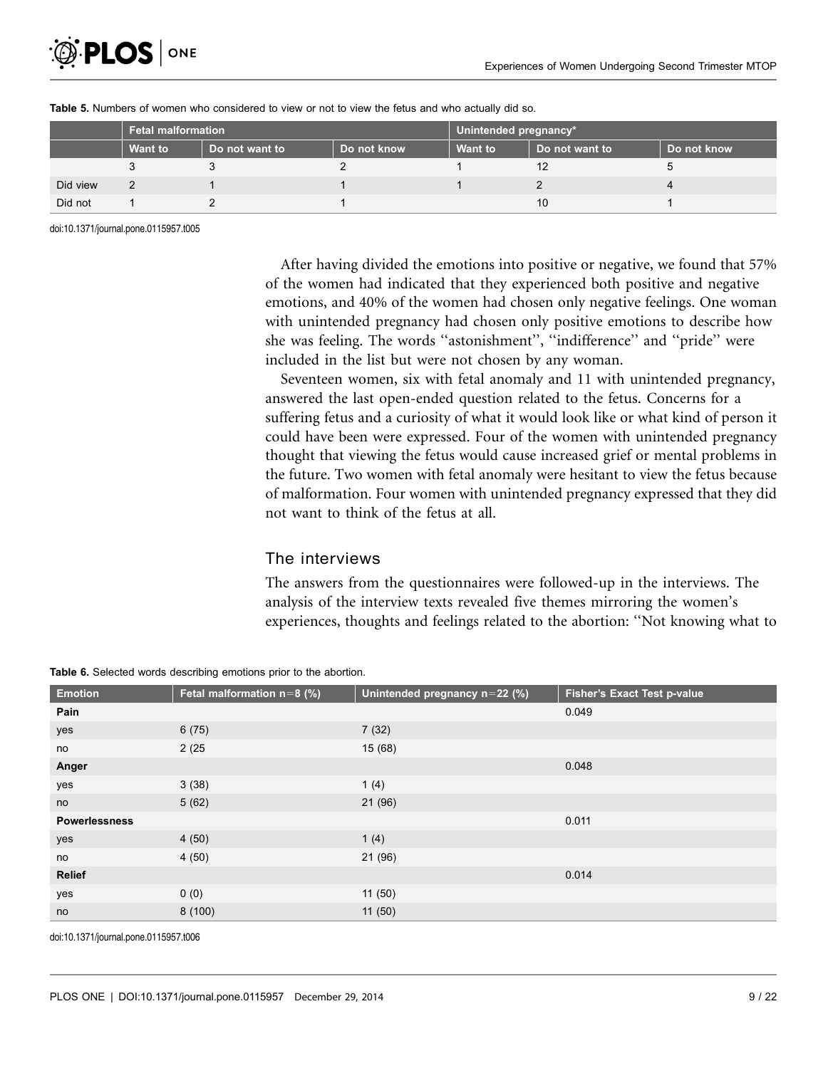<span id="page-8-0"></span>

|          | <b>Fetal malformation</b> |                | Unintended pregnancy* |         |                |             |
|----------|---------------------------|----------------|-----------------------|---------|----------------|-------------|
|          | <b>Want to</b>            | Do not want to | Do not know           | Want to | Do not want to | Do not know |
|          |                           |                |                       |         |                |             |
| Did view |                           |                |                       |         |                |             |
| Did not  |                           |                |                       |         | 10             |             |

#### Table 5. Numbers of women who considered to view or not to view the fetus and who actually did so.

doi:10.1371/journal.pone.0115957.t005

After having divided the emotions into positive or negative, we found that 57% of the women had indicated that they experienced both positive and negative emotions, and 40% of the women had chosen only negative feelings. One woman with unintended pregnancy had chosen only positive emotions to describe how she was feeling. The words ''astonishment'', ''indifference'' and ''pride'' were included in the list but were not chosen by any woman.

Seventeen women, six with fetal anomaly and 11 with unintended pregnancy, answered the last open-ended question related to the fetus. Concerns for a suffering fetus and a curiosity of what it would look like or what kind of person it could have been were expressed. Four of the women with unintended pregnancy thought that viewing the fetus would cause increased grief or mental problems in the future. Two women with fetal anomaly were hesitant to view the fetus because of malformation. Four women with unintended pregnancy expressed that they did not want to think of the fetus at all.

#### The interviews

The answers from the questionnaires were followed-up in the interviews. The analysis of the interview texts revealed five themes mirroring the women's experiences, thoughts and feelings related to the abortion: ''Not knowing what to

Table 6. Selected words describing emotions prior to the abortion.

| <b>Emotion</b>       | Fetal malformation $n=8$ (%) | Unintended pregnancy $n=22$ (%) | <b>Fisher's Exact Test p-value</b> |
|----------------------|------------------------------|---------------------------------|------------------------------------|
| Pain                 |                              |                                 | 0.049                              |
| yes                  | 6(75)                        | 7(32)                           |                                    |
| no                   | 2(25)                        | 15 (68)                         |                                    |
| Anger                |                              |                                 | 0.048                              |
| yes                  | 3(38)                        | 1(4)                            |                                    |
| no                   | 5(62)                        | 21 (96)                         |                                    |
| <b>Powerlessness</b> |                              |                                 | 0.011                              |
| yes                  | 4(50)                        | 1(4)                            |                                    |
| no                   | 4(50)                        | 21 (96)                         |                                    |
| <b>Relief</b>        |                              |                                 | 0.014                              |
| yes                  | 0(0)                         | 11(50)                          |                                    |
| no                   | 8(100)                       | 11(50)                          |                                    |

doi:10.1371/journal.pone.0115957.t006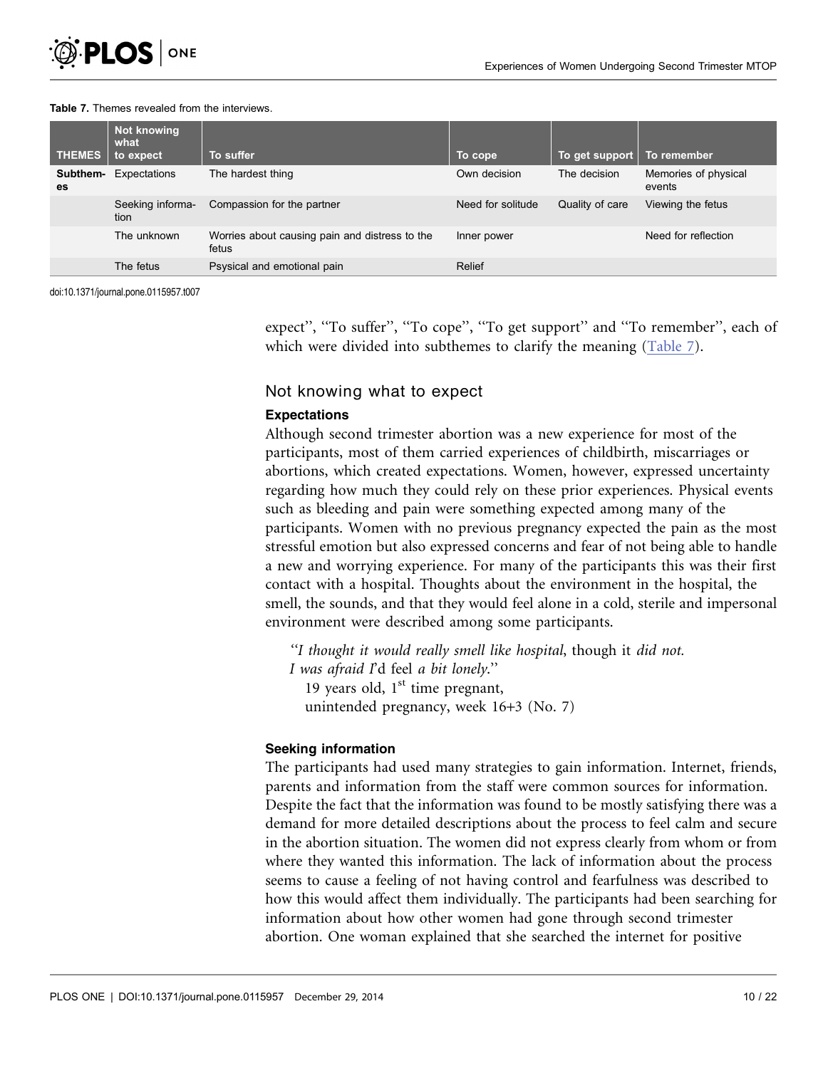#### Table 7. Themes revealed from the interviews.

| <b>THEMES</b>  | Not knowing<br>what<br>to expect | To suffer $\overline{\phantom{a}}$                      | To cope           | To get support  | To remember                    |
|----------------|----------------------------------|---------------------------------------------------------|-------------------|-----------------|--------------------------------|
| Subthem-<br>es | Expectations                     | The hardest thing                                       | Own decision      | The decision    | Memories of physical<br>events |
|                | Seeking informa-<br>tion         | Compassion for the partner                              | Need for solitude | Quality of care | Viewing the fetus              |
|                | The unknown                      | Worries about causing pain and distress to the<br>fetus | Inner power       |                 | Need for reflection            |
|                | The fetus                        | Psysical and emotional pain                             | Relief            |                 |                                |

doi:10.1371/journal.pone.0115957.t007

expect", "To suffer", "To cope", "To get support" and "To remember", each of which were divided into subthemes to clarify the meaning (Table 7).

#### Not knowing what to expect

#### **Expectations**

Although second trimester abortion was a new experience for most of the participants, most of them carried experiences of childbirth, miscarriages or abortions, which created expectations. Women, however, expressed uncertainty regarding how much they could rely on these prior experiences. Physical events such as bleeding and pain were something expected among many of the participants. Women with no previous pregnancy expected the pain as the most stressful emotion but also expressed concerns and fear of not being able to handle a new and worrying experience. For many of the participants this was their first contact with a hospital. Thoughts about the environment in the hospital, the smell, the sounds, and that they would feel alone in a cold, sterile and impersonal environment were described among some participants.

''I thought it would really smell like hospital, though it did not. I was afraid I'd feel a bit lonely.'' 19 years old,  $1<sup>st</sup>$  time pregnant, unintended pregnancy, week 16+3 (No. 7)

#### Seeking information

The participants had used many strategies to gain information. Internet, friends, parents and information from the staff were common sources for information. Despite the fact that the information was found to be mostly satisfying there was a demand for more detailed descriptions about the process to feel calm and secure in the abortion situation. The women did not express clearly from whom or from where they wanted this information. The lack of information about the process seems to cause a feeling of not having control and fearfulness was described to how this would affect them individually. The participants had been searching for information about how other women had gone through second trimester abortion. One woman explained that she searched the internet for positive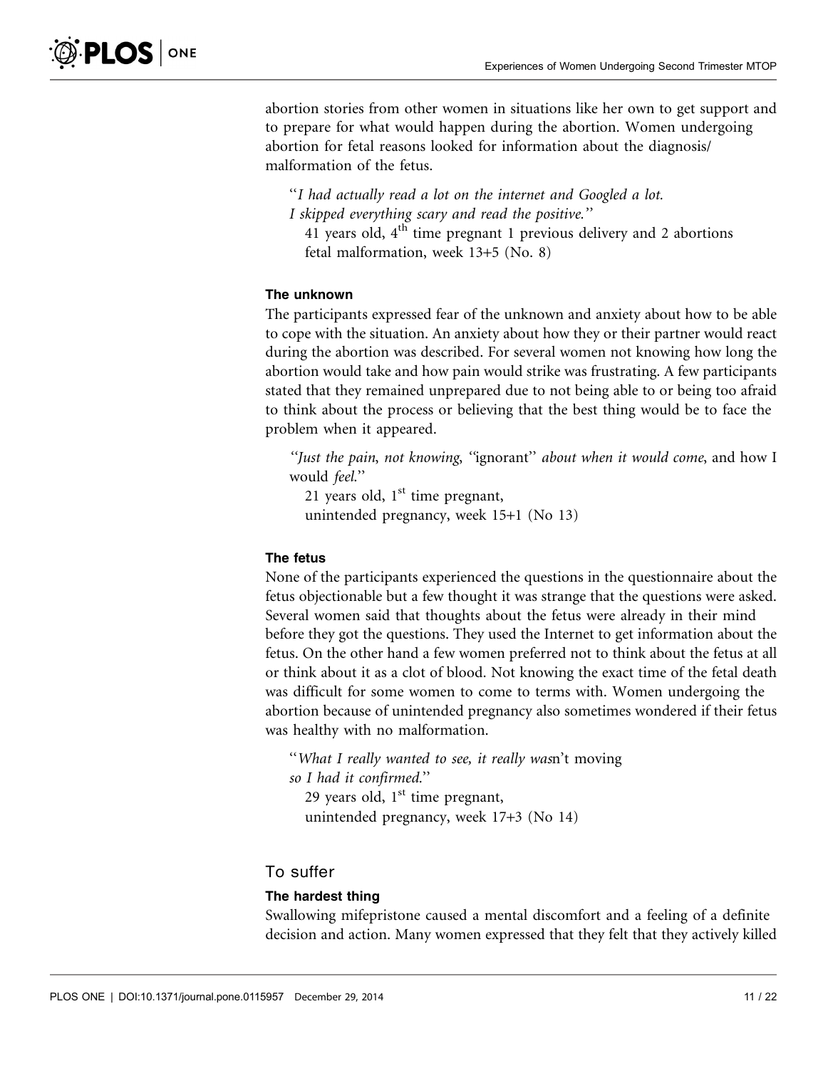abortion stories from other women in situations like her own to get support and to prepare for what would happen during the abortion. Women undergoing abortion for fetal reasons looked for information about the diagnosis/ malformation of the fetus.

''I had actually read a lot on the internet and Googled a lot. I skipped everything scary and read the positive.''

41 years old,  $4<sup>th</sup>$  time pregnant 1 previous delivery and 2 abortions fetal malformation, week 13+5 (No. 8)

#### The unknown

The participants expressed fear of the unknown and anxiety about how to be able to cope with the situation. An anxiety about how they or their partner would react during the abortion was described. For several women not knowing how long the abortion would take and how pain would strike was frustrating. A few participants stated that they remained unprepared due to not being able to or being too afraid to think about the process or believing that the best thing would be to face the problem when it appeared.

''Just the pain, not knowing, ''ignorant'' about when it would come, and how I would feel.''

21 years old,  $1<sup>st</sup>$  time pregnant, unintended pregnancy, week 15+1 (No 13)

#### The fetus

None of the participants experienced the questions in the questionnaire about the fetus objectionable but a few thought it was strange that the questions were asked. Several women said that thoughts about the fetus were already in their mind before they got the questions. They used the Internet to get information about the fetus. On the other hand a few women preferred not to think about the fetus at all or think about it as a clot of blood. Not knowing the exact time of the fetal death was difficult for some women to come to terms with. Women undergoing the abortion because of unintended pregnancy also sometimes wondered if their fetus was healthy with no malformation.

''What I really wanted to see, it really wasn't moving so I had it confirmed.'' 29 years old,  $1<sup>st</sup>$  time pregnant, unintended pregnancy, week 17+3 (No 14)

#### To suffer

#### The hardest thing

Swallowing mifepristone caused a mental discomfort and a feeling of a definite decision and action. Many women expressed that they felt that they actively killed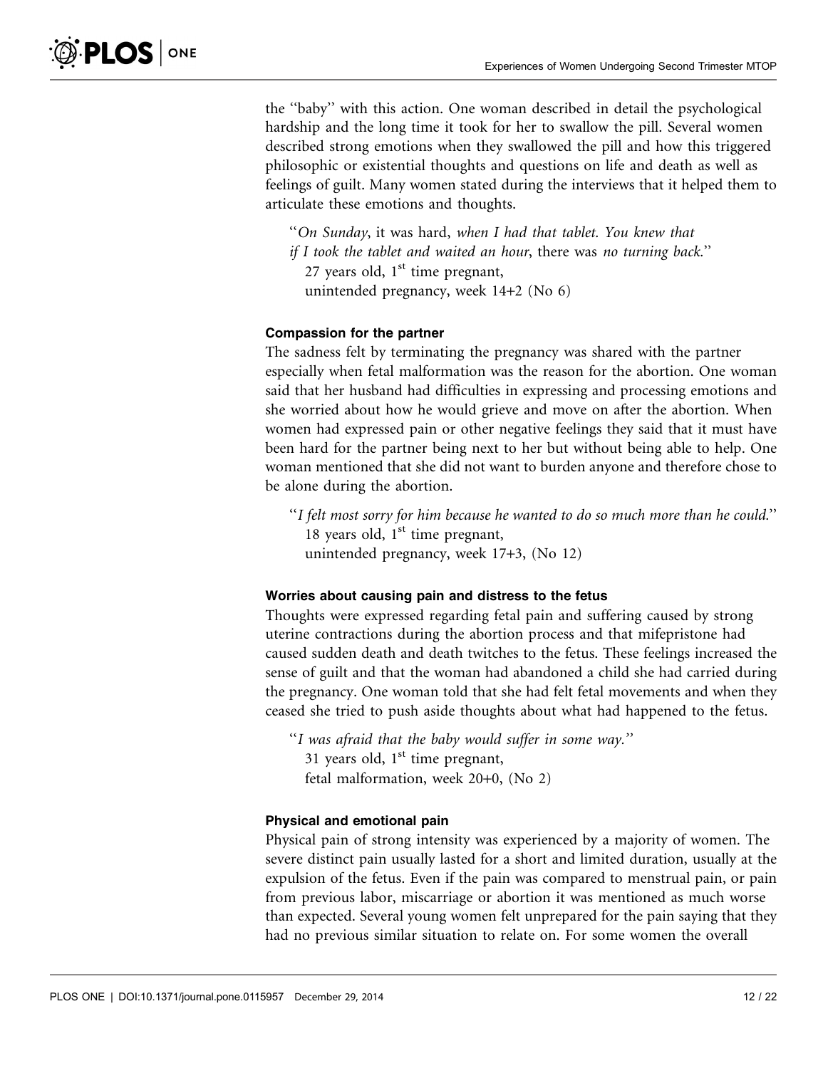the ''baby'' with this action. One woman described in detail the psychological hardship and the long time it took for her to swallow the pill. Several women described strong emotions when they swallowed the pill and how this triggered philosophic or existential thoughts and questions on life and death as well as feelings of guilt. Many women stated during the interviews that it helped them to articulate these emotions and thoughts.

''On Sunday, it was hard, when I had that tablet. You knew that if I took the tablet and waited an hour, there was no turning back.'' 27 years old,  $1<sup>st</sup>$  time pregnant, unintended pregnancy, week 14+2 (No 6)

#### Compassion for the partner

The sadness felt by terminating the pregnancy was shared with the partner especially when fetal malformation was the reason for the abortion. One woman said that her husband had difficulties in expressing and processing emotions and she worried about how he would grieve and move on after the abortion. When women had expressed pain or other negative feelings they said that it must have been hard for the partner being next to her but without being able to help. One woman mentioned that she did not want to burden anyone and therefore chose to be alone during the abortion.

''I felt most sorry for him because he wanted to do so much more than he could.'' 18 years old,  $1<sup>st</sup>$  time pregnant, unintended pregnancy, week 17+3, (No 12)

#### Worries about causing pain and distress to the fetus

Thoughts were expressed regarding fetal pain and suffering caused by strong uterine contractions during the abortion process and that mifepristone had caused sudden death and death twitches to the fetus. These feelings increased the sense of guilt and that the woman had abandoned a child she had carried during the pregnancy. One woman told that she had felt fetal movements and when they ceased she tried to push aside thoughts about what had happened to the fetus.

''I was afraid that the baby would suffer in some way.'' 31 years old,  $1<sup>st</sup>$  time pregnant, fetal malformation, week 20+0, (No 2)

#### Physical and emotional pain

Physical pain of strong intensity was experienced by a majority of women. The severe distinct pain usually lasted for a short and limited duration, usually at the expulsion of the fetus. Even if the pain was compared to menstrual pain, or pain from previous labor, miscarriage or abortion it was mentioned as much worse than expected. Several young women felt unprepared for the pain saying that they had no previous similar situation to relate on. For some women the overall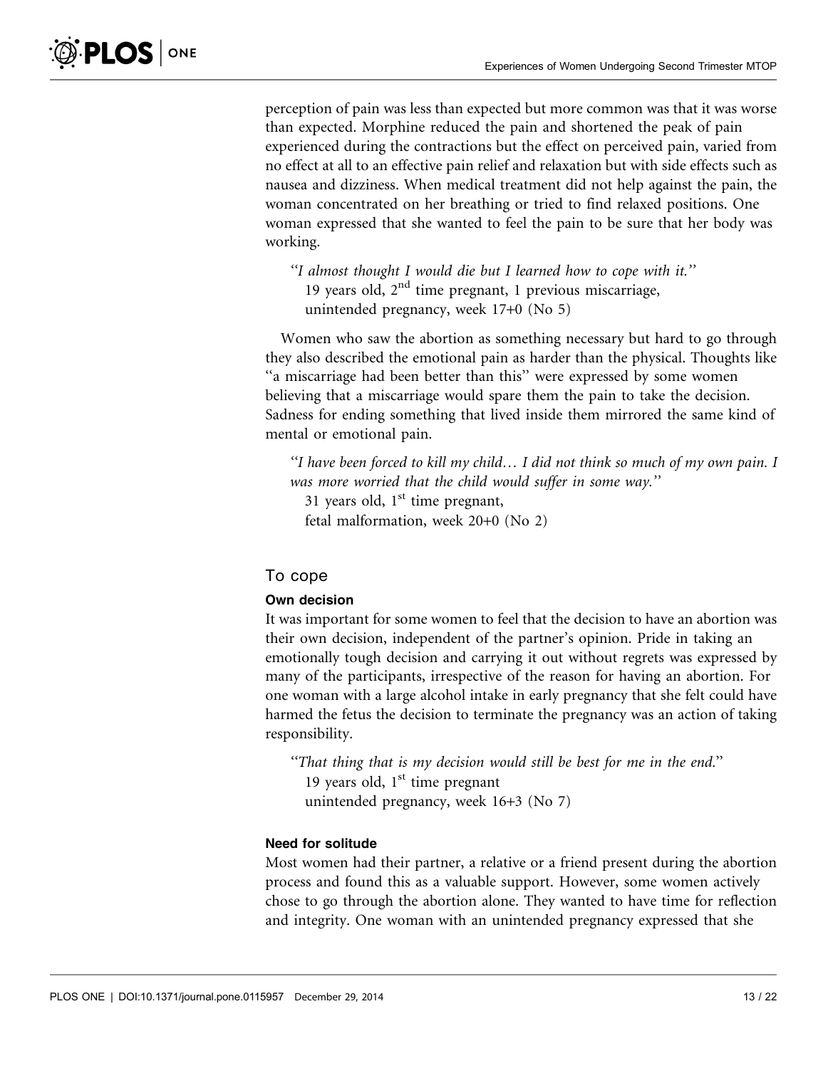perception of pain was less than expected but more common was that it was worse than expected. Morphine reduced the pain and shortened the peak of pain experienced during the contractions but the effect on perceived pain, varied from no effect at all to an effective pain relief and relaxation but with side effects such as nausea and dizziness. When medical treatment did not help against the pain, the woman concentrated on her breathing or tried to find relaxed positions. One woman expressed that she wanted to feel the pain to be sure that her body was working.

''I almost thought I would die but I learned how to cope with it.'' 19 years old,  $2<sup>nd</sup>$  time pregnant, 1 previous miscarriage, unintended pregnancy, week 17+0 (No 5)

Women who saw the abortion as something necessary but hard to go through they also described the emotional pain as harder than the physical. Thoughts like ''a miscarriage had been better than this'' were expressed by some women believing that a miscarriage would spare them the pain to take the decision. Sadness for ending something that lived inside them mirrored the same kind of mental or emotional pain.

''I have been forced to kill my child… I did not think so much of my own pain. I was more worried that the child would suffer in some way.'' 31 years old,  $1<sup>st</sup>$  time pregnant, fetal malformation, week 20+0 (No 2)

#### To cope

#### Own decision

It was important for some women to feel that the decision to have an abortion was their own decision, independent of the partner's opinion. Pride in taking an emotionally tough decision and carrying it out without regrets was expressed by many of the participants, irrespective of the reason for having an abortion. For one woman with a large alcohol intake in early pregnancy that she felt could have harmed the fetus the decision to terminate the pregnancy was an action of taking responsibility.

''That thing that is my decision would still be best for me in the end.'' 19 years old,  $1<sup>st</sup>$  time pregnant unintended pregnancy, week 16+3 (No 7)

#### Need for solitude

Most women had their partner, a relative or a friend present during the abortion process and found this as a valuable support. However, some women actively chose to go through the abortion alone. They wanted to have time for reflection and integrity. One woman with an unintended pregnancy expressed that she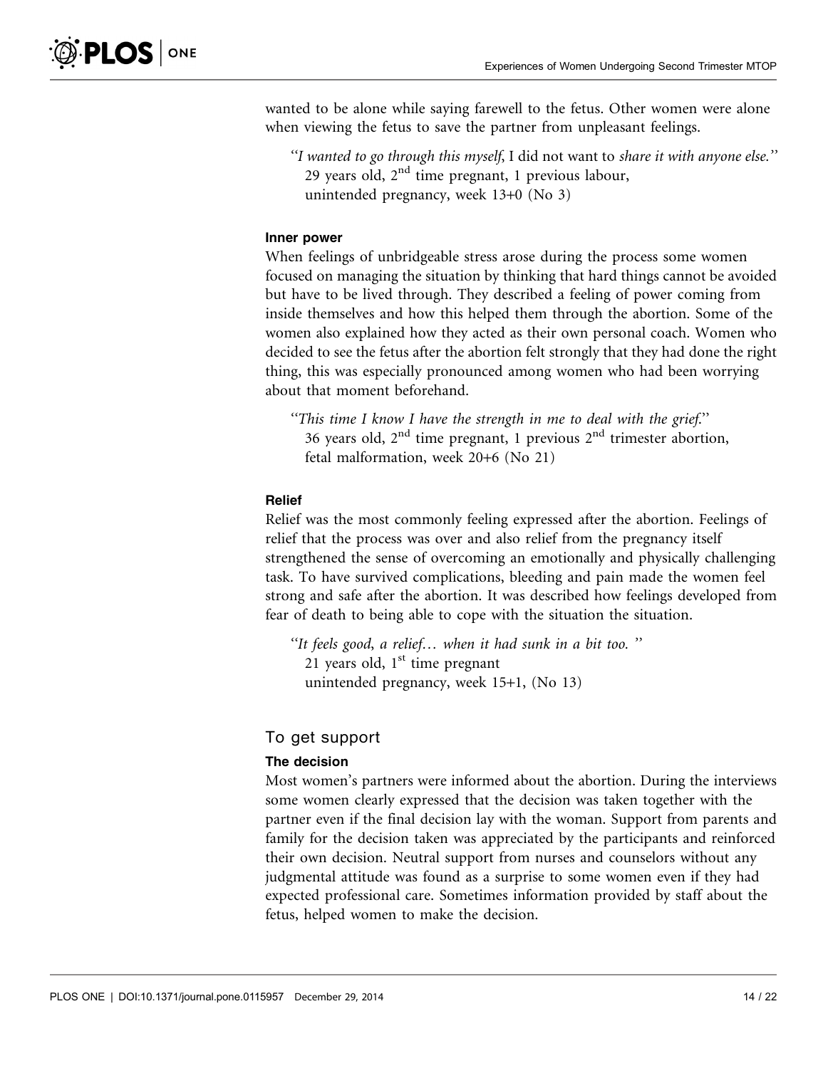wanted to be alone while saying farewell to the fetus. Other women were alone when viewing the fetus to save the partner from unpleasant feelings.

''I wanted to go through this myself, I did not want to share it with anyone else.'' 29 years old,  $2<sup>nd</sup>$  time pregnant, 1 previous labour, unintended pregnancy, week 13+0 (No 3)

#### Inner power

When feelings of unbridgeable stress arose during the process some women focused on managing the situation by thinking that hard things cannot be avoided but have to be lived through. They described a feeling of power coming from inside themselves and how this helped them through the abortion. Some of the women also explained how they acted as their own personal coach. Women who decided to see the fetus after the abortion felt strongly that they had done the right thing, this was especially pronounced among women who had been worrying about that moment beforehand.

''This time I know I have the strength in me to deal with the grief.'' 36 years old,  $2<sup>nd</sup>$  time pregnant, 1 previous  $2<sup>nd</sup>$  trimester abortion, fetal malformation, week 20+6 (No 21)

#### Relief

Relief was the most commonly feeling expressed after the abortion. Feelings of relief that the process was over and also relief from the pregnancy itself strengthened the sense of overcoming an emotionally and physically challenging task. To have survived complications, bleeding and pain made the women feel strong and safe after the abortion. It was described how feelings developed from fear of death to being able to cope with the situation the situation.

''It feels good, a relief… when it had sunk in a bit too. '' 21 years old,  $1<sup>st</sup>$  time pregnant unintended pregnancy, week 15+1, (No 13)

#### To get support

#### The decision

Most women's partners were informed about the abortion. During the interviews some women clearly expressed that the decision was taken together with the partner even if the final decision lay with the woman. Support from parents and family for the decision taken was appreciated by the participants and reinforced their own decision. Neutral support from nurses and counselors without any judgmental attitude was found as a surprise to some women even if they had expected professional care. Sometimes information provided by staff about the fetus, helped women to make the decision.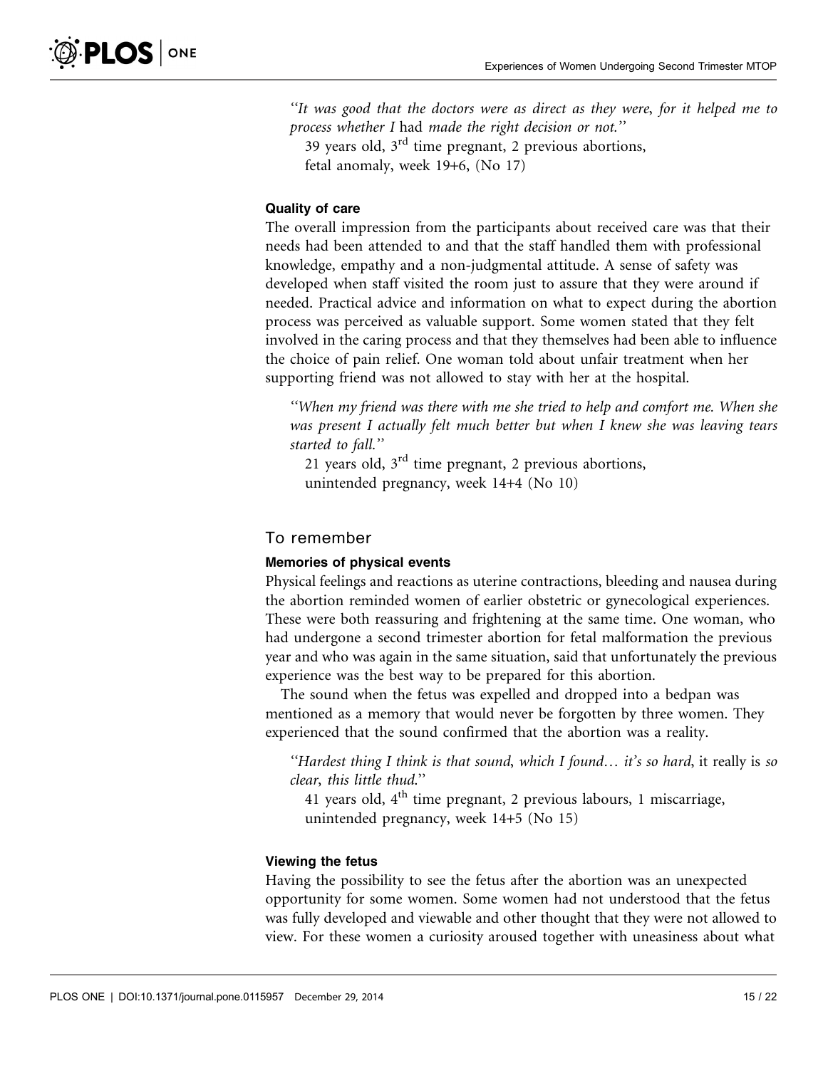''It was good that the doctors were as direct as they were, for it helped me to process whether I had made the right decision or not.''

39 years old,  $3<sup>rd</sup>$  time pregnant, 2 previous abortions, fetal anomaly, week 19+6, (No 17)

#### Quality of care

The overall impression from the participants about received care was that their needs had been attended to and that the staff handled them with professional knowledge, empathy and a non-judgmental attitude. A sense of safety was developed when staff visited the room just to assure that they were around if needed. Practical advice and information on what to expect during the abortion process was perceived as valuable support. Some women stated that they felt involved in the caring process and that they themselves had been able to influence the choice of pain relief. One woman told about unfair treatment when her supporting friend was not allowed to stay with her at the hospital.

''When my friend was there with me she tried to help and comfort me. When she was present I actually felt much better but when I knew she was leaving tears started to fall.''

21 years old,  $3<sup>rd</sup>$  time pregnant, 2 previous abortions, unintended pregnancy, week 14+4 (No 10)

#### To remember

#### Memories of physical events

Physical feelings and reactions as uterine contractions, bleeding and nausea during the abortion reminded women of earlier obstetric or gynecological experiences. These were both reassuring and frightening at the same time. One woman, who had undergone a second trimester abortion for fetal malformation the previous year and who was again in the same situation, said that unfortunately the previous experience was the best way to be prepared for this abortion.

The sound when the fetus was expelled and dropped into a bedpan was mentioned as a memory that would never be forgotten by three women. They experienced that the sound confirmed that the abortion was a reality.

''Hardest thing I think is that sound, which I found… it's so hard, it really is so clear, this little thud.''

41 years old, 4th time pregnant, 2 previous labours, 1 miscarriage, unintended pregnancy, week 14+5 (No 15)

#### Viewing the fetus

Having the possibility to see the fetus after the abortion was an unexpected opportunity for some women. Some women had not understood that the fetus was fully developed and viewable and other thought that they were not allowed to view. For these women a curiosity aroused together with uneasiness about what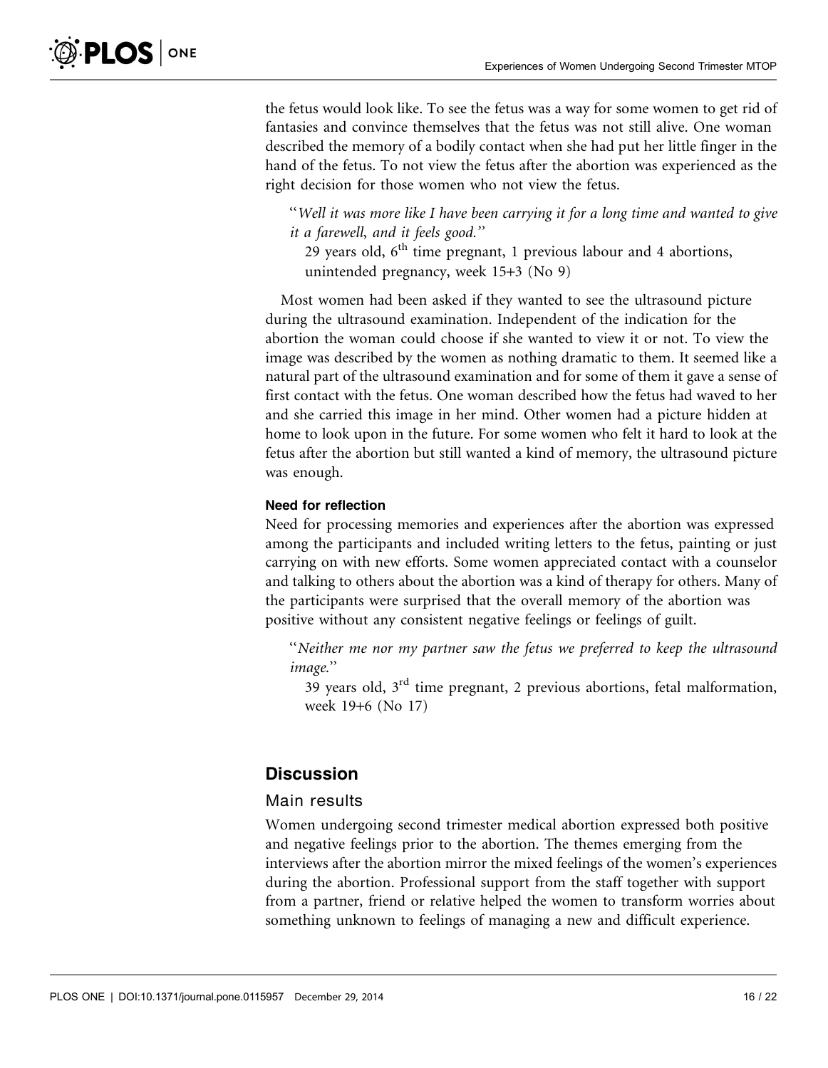the fetus would look like. To see the fetus was a way for some women to get rid of fantasies and convince themselves that the fetus was not still alive. One woman described the memory of a bodily contact when she had put her little finger in the hand of the fetus. To not view the fetus after the abortion was experienced as the right decision for those women who not view the fetus.

''Well it was more like I have been carrying it for a long time and wanted to give it a farewell, and it feels good.''

29 years old,  $6<sup>th</sup>$  time pregnant, 1 previous labour and 4 abortions, unintended pregnancy, week 15+3 (No 9)

Most women had been asked if they wanted to see the ultrasound picture during the ultrasound examination. Independent of the indication for the abortion the woman could choose if she wanted to view it or not. To view the image was described by the women as nothing dramatic to them. It seemed like a natural part of the ultrasound examination and for some of them it gave a sense of first contact with the fetus. One woman described how the fetus had waved to her and she carried this image in her mind. Other women had a picture hidden at home to look upon in the future. For some women who felt it hard to look at the fetus after the abortion but still wanted a kind of memory, the ultrasound picture was enough.

#### Need for reflection

Need for processing memories and experiences after the abortion was expressed among the participants and included writing letters to the fetus, painting or just carrying on with new efforts. Some women appreciated contact with a counselor and talking to others about the abortion was a kind of therapy for others. Many of the participants were surprised that the overall memory of the abortion was positive without any consistent negative feelings or feelings of guilt.

''Neither me nor my partner saw the fetus we preferred to keep the ultrasound image.''

 $39$  years old,  $3<sup>rd</sup>$  time pregnant, 2 previous abortions, fetal malformation, week 19+6 (No 17)

## **Discussion**

#### Main results

Women undergoing second trimester medical abortion expressed both positive and negative feelings prior to the abortion. The themes emerging from the interviews after the abortion mirror the mixed feelings of the women's experiences during the abortion. Professional support from the staff together with support from a partner, friend or relative helped the women to transform worries about something unknown to feelings of managing a new and difficult experience.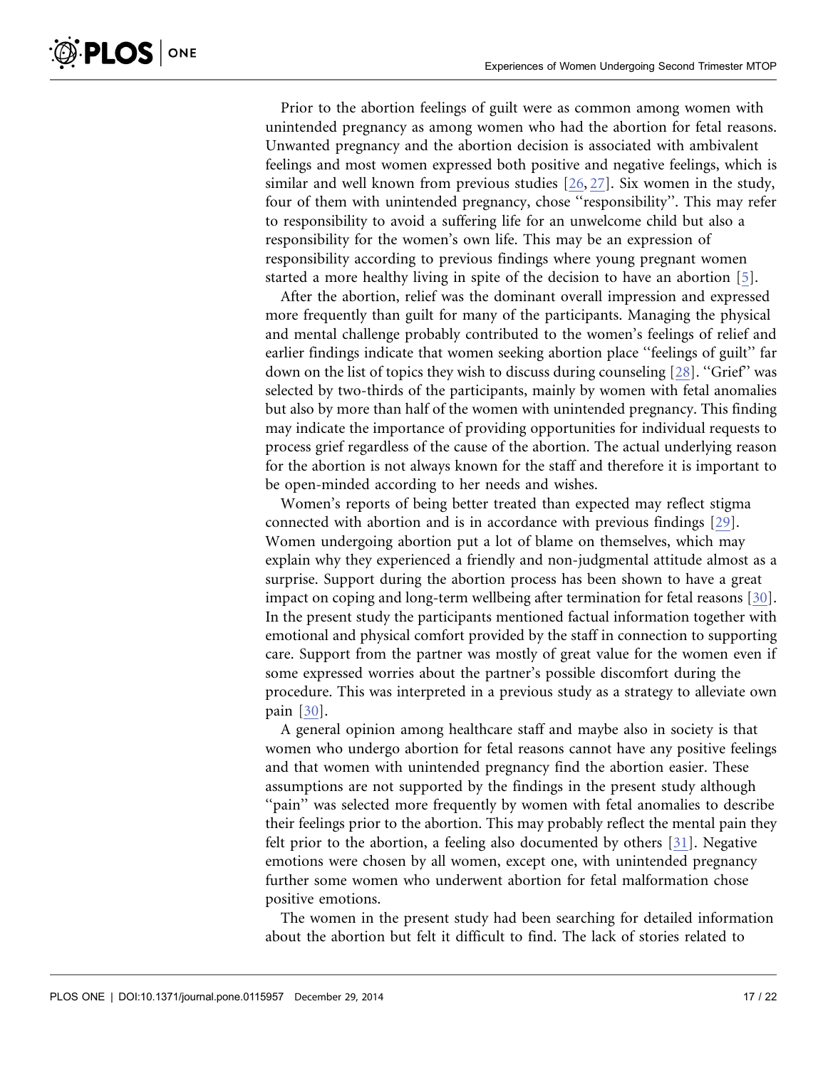Prior to the abortion feelings of guilt were as common among women with unintended pregnancy as among women who had the abortion for fetal reasons. Unwanted pregnancy and the abortion decision is associated with ambivalent feelings and most women expressed both positive and negative feelings, which is similar and well known from previous studies [\[26,](#page-21-0) [27\].](#page-21-0) Six women in the study, four of them with unintended pregnancy, chose ''responsibility''. This may refer to responsibility to avoid a suffering life for an unwelcome child but also a responsibility for the women's own life. This may be an expression of responsibility according to previous findings where young pregnant women started a more healthy living in spite of the decision to have an abortion [\[5\]](#page-20-0).

After the abortion, relief was the dominant overall impression and expressed more frequently than guilt for many of the participants. Managing the physical and mental challenge probably contributed to the women's feelings of relief and earlier findings indicate that women seeking abortion place ''feelings of guilt'' far down on the list of topics they wish to discuss during counseling [\[28\].](#page-21-0) ''Grief'' was selected by two-thirds of the participants, mainly by women with fetal anomalies but also by more than half of the women with unintended pregnancy. This finding may indicate the importance of providing opportunities for individual requests to process grief regardless of the cause of the abortion. The actual underlying reason for the abortion is not always known for the staff and therefore it is important to be open-minded according to her needs and wishes.

Women's reports of being better treated than expected may reflect stigma connected with abortion and is in accordance with previous findings [\[29\].](#page-21-0) Women undergoing abortion put a lot of blame on themselves, which may explain why they experienced a friendly and non-judgmental attitude almost as a surprise. Support during the abortion process has been shown to have a great impact on coping and long-term wellbeing after termination for fetal reasons [\[30\]](#page-21-0). In the present study the participants mentioned factual information together with emotional and physical comfort provided by the staff in connection to supporting care. Support from the partner was mostly of great value for the women even if some expressed worries about the partner's possible discomfort during the procedure. This was interpreted in a previous study as a strategy to alleviate own pain [\[30\]](#page-21-0).

A general opinion among healthcare staff and maybe also in society is that women who undergo abortion for fetal reasons cannot have any positive feelings and that women with unintended pregnancy find the abortion easier. These assumptions are not supported by the findings in the present study although "pain" was selected more frequently by women with fetal anomalies to describe their feelings prior to the abortion. This may probably reflect the mental pain they felt prior to the abortion, a feeling also documented by others [\[31\]](#page-21-0). Negative emotions were chosen by all women, except one, with unintended pregnancy further some women who underwent abortion for fetal malformation chose positive emotions.

The women in the present study had been searching for detailed information about the abortion but felt it difficult to find. The lack of stories related to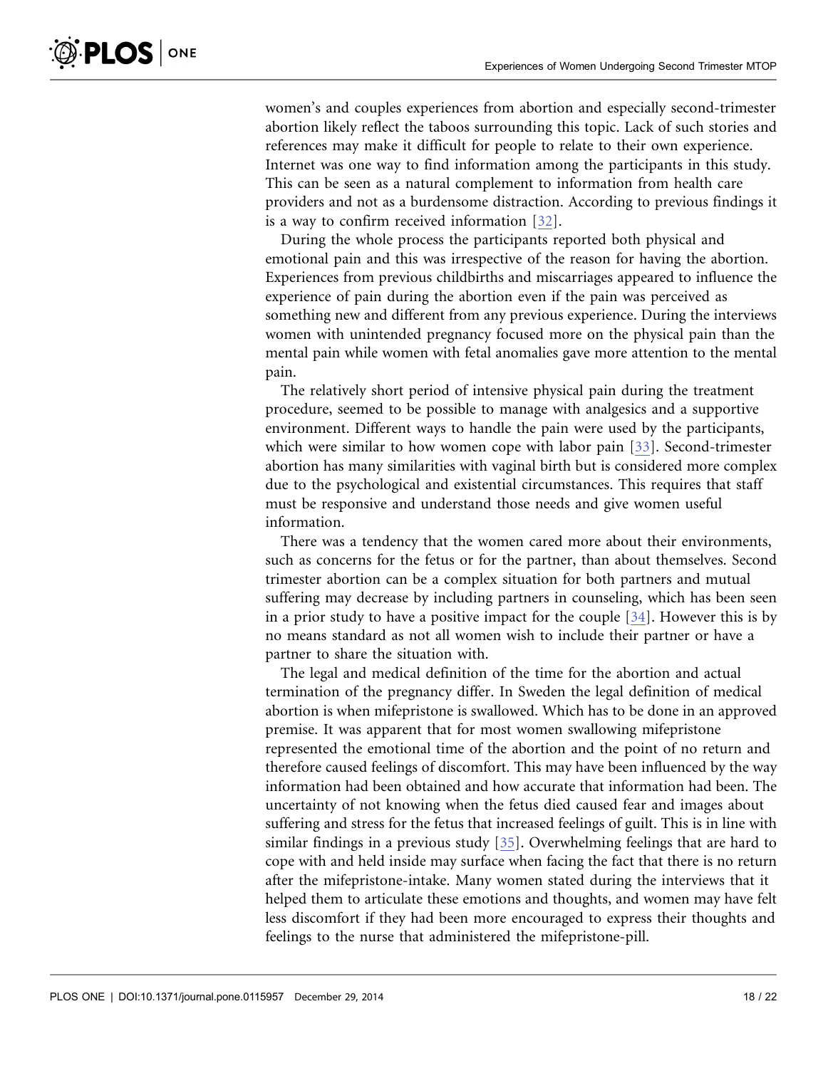women's and couples experiences from abortion and especially second-trimester abortion likely reflect the taboos surrounding this topic. Lack of such stories and references may make it difficult for people to relate to their own experience. Internet was one way to find information among the participants in this study. This can be seen as a natural complement to information from health care providers and not as a burdensome distraction. According to previous findings it is a way to confirm received information [\[32\]](#page-21-0).

During the whole process the participants reported both physical and emotional pain and this was irrespective of the reason for having the abortion. Experiences from previous childbirths and miscarriages appeared to influence the experience of pain during the abortion even if the pain was perceived as something new and different from any previous experience. During the interviews women with unintended pregnancy focused more on the physical pain than the mental pain while women with fetal anomalies gave more attention to the mental pain.

The relatively short period of intensive physical pain during the treatment procedure, seemed to be possible to manage with analgesics and a supportive environment. Different ways to handle the pain were used by the participants, which were similar to how women cope with labor pain [\[33\]](#page-21-0). Second-trimester abortion has many similarities with vaginal birth but is considered more complex due to the psychological and existential circumstances. This requires that staff must be responsive and understand those needs and give women useful information.

There was a tendency that the women cared more about their environments, such as concerns for the fetus or for the partner, than about themselves. Second trimester abortion can be a complex situation for both partners and mutual suffering may decrease by including partners in counseling, which has been seen in a prior study to have a positive impact for the couple [\[34\].](#page-21-0) However this is by no means standard as not all women wish to include their partner or have a partner to share the situation with.

The legal and medical definition of the time for the abortion and actual termination of the pregnancy differ. In Sweden the legal definition of medical abortion is when mifepristone is swallowed. Which has to be done in an approved premise. It was apparent that for most women swallowing mifepristone represented the emotional time of the abortion and the point of no return and therefore caused feelings of discomfort. This may have been influenced by the way information had been obtained and how accurate that information had been. The uncertainty of not knowing when the fetus died caused fear and images about suffering and stress for the fetus that increased feelings of guilt. This is in line with similar findings in a previous study [\[35\]](#page-21-0). Overwhelming feelings that are hard to cope with and held inside may surface when facing the fact that there is no return after the mifepristone-intake. Many women stated during the interviews that it helped them to articulate these emotions and thoughts, and women may have felt less discomfort if they had been more encouraged to express their thoughts and feelings to the nurse that administered the mifepristone-pill.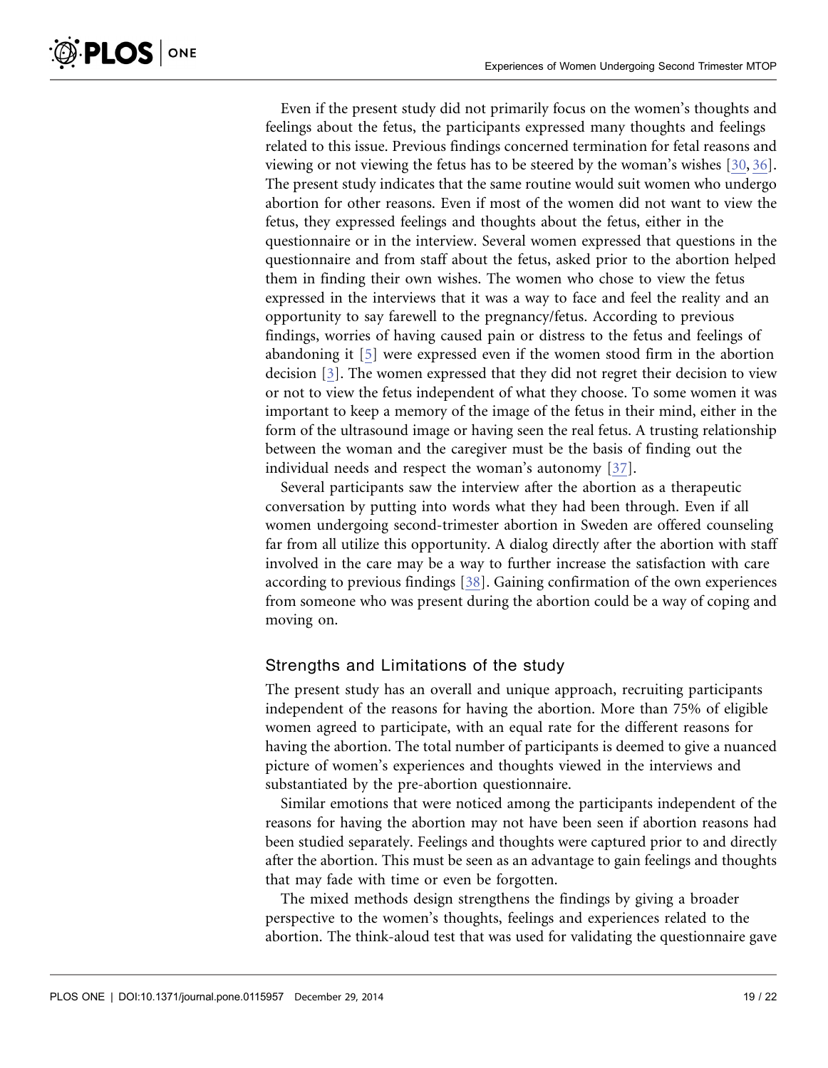Even if the present study did not primarily focus on the women's thoughts and feelings about the fetus, the participants expressed many thoughts and feelings related to this issue. Previous findings concerned termination for fetal reasons and viewing or not viewing the fetus has to be steered by the woman's wishes [\[30,](#page-21-0) [36\]](#page-21-0). The present study indicates that the same routine would suit women who undergo abortion for other reasons. Even if most of the women did not want to view the fetus, they expressed feelings and thoughts about the fetus, either in the questionnaire or in the interview. Several women expressed that questions in the questionnaire and from staff about the fetus, asked prior to the abortion helped them in finding their own wishes. The women who chose to view the fetus expressed in the interviews that it was a way to face and feel the reality and an opportunity to say farewell to the pregnancy/fetus. According to previous findings, worries of having caused pain or distress to the fetus and feelings of abandoning it [\[5\]](#page-20-0) were expressed even if the women stood firm in the abortion decision [\[3\].](#page-20-0) The women expressed that they did not regret their decision to view or not to view the fetus independent of what they choose. To some women it was important to keep a memory of the image of the fetus in their mind, either in the form of the ultrasound image or having seen the real fetus. A trusting relationship between the woman and the caregiver must be the basis of finding out the individual needs and respect the woman's autonomy [\[37\]](#page-21-0).

Several participants saw the interview after the abortion as a therapeutic conversation by putting into words what they had been through. Even if all women undergoing second-trimester abortion in Sweden are offered counseling far from all utilize this opportunity. A dialog directly after the abortion with staff involved in the care may be a way to further increase the satisfaction with care according to previous findings [\[38\].](#page-21-0) Gaining confirmation of the own experiences from someone who was present during the abortion could be a way of coping and moving on.

#### Strengths and Limitations of the study

The present study has an overall and unique approach, recruiting participants independent of the reasons for having the abortion. More than 75% of eligible women agreed to participate, with an equal rate for the different reasons for having the abortion. The total number of participants is deemed to give a nuanced picture of women's experiences and thoughts viewed in the interviews and substantiated by the pre-abortion questionnaire.

Similar emotions that were noticed among the participants independent of the reasons for having the abortion may not have been seen if abortion reasons had been studied separately. Feelings and thoughts were captured prior to and directly after the abortion. This must be seen as an advantage to gain feelings and thoughts that may fade with time or even be forgotten.

The mixed methods design strengthens the findings by giving a broader perspective to the women's thoughts, feelings and experiences related to the abortion. The think-aloud test that was used for validating the questionnaire gave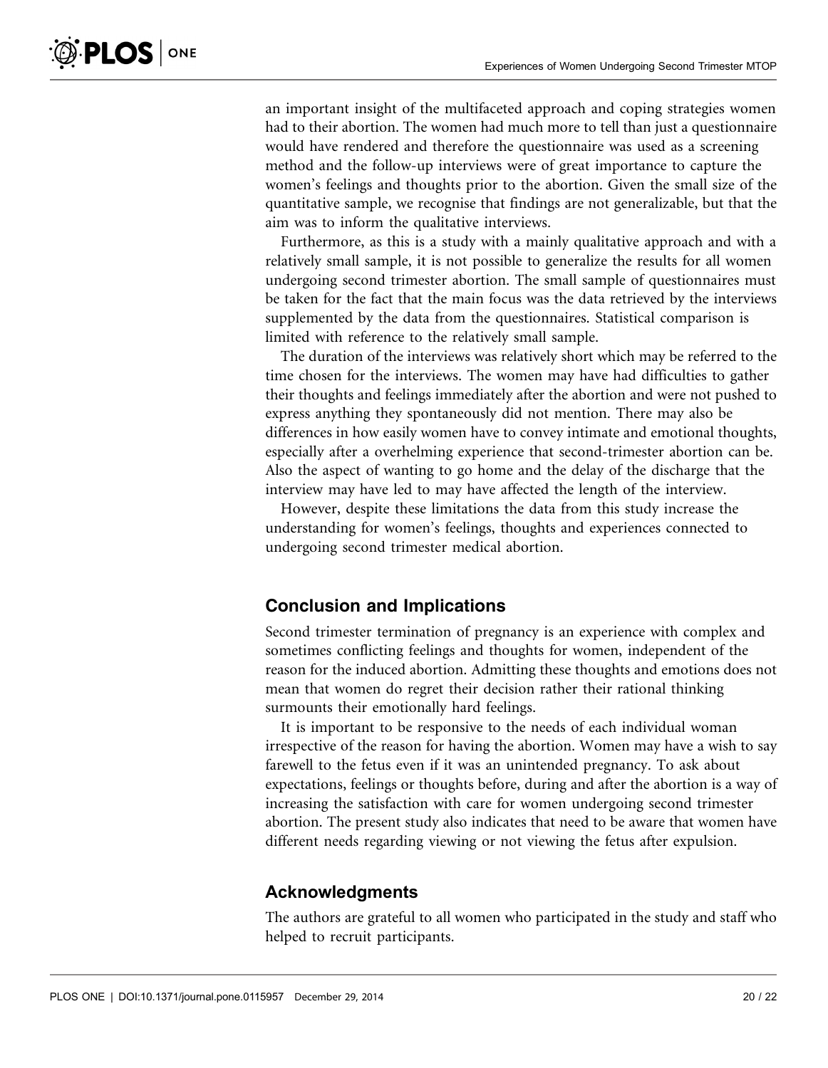an important insight of the multifaceted approach and coping strategies women had to their abortion. The women had much more to tell than just a questionnaire would have rendered and therefore the questionnaire was used as a screening method and the follow-up interviews were of great importance to capture the women's feelings and thoughts prior to the abortion. Given the small size of the quantitative sample, we recognise that findings are not generalizable, but that the aim was to inform the qualitative interviews.

Furthermore, as this is a study with a mainly qualitative approach and with a relatively small sample, it is not possible to generalize the results for all women undergoing second trimester abortion. The small sample of questionnaires must be taken for the fact that the main focus was the data retrieved by the interviews supplemented by the data from the questionnaires. Statistical comparison is limited with reference to the relatively small sample.

The duration of the interviews was relatively short which may be referred to the time chosen for the interviews. The women may have had difficulties to gather their thoughts and feelings immediately after the abortion and were not pushed to express anything they spontaneously did not mention. There may also be differences in how easily women have to convey intimate and emotional thoughts, especially after a overhelming experience that second-trimester abortion can be. Also the aspect of wanting to go home and the delay of the discharge that the interview may have led to may have affected the length of the interview.

However, despite these limitations the data from this study increase the understanding for women's feelings, thoughts and experiences connected to undergoing second trimester medical abortion.

#### Conclusion and Implications

Second trimester termination of pregnancy is an experience with complex and sometimes conflicting feelings and thoughts for women, independent of the reason for the induced abortion. Admitting these thoughts and emotions does not mean that women do regret their decision rather their rational thinking surmounts their emotionally hard feelings.

It is important to be responsive to the needs of each individual woman irrespective of the reason for having the abortion. Women may have a wish to say farewell to the fetus even if it was an unintended pregnancy. To ask about expectations, feelings or thoughts before, during and after the abortion is a way of increasing the satisfaction with care for women undergoing second trimester abortion. The present study also indicates that need to be aware that women have different needs regarding viewing or not viewing the fetus after expulsion.

#### Acknowledgments

The authors are grateful to all women who participated in the study and staff who helped to recruit participants.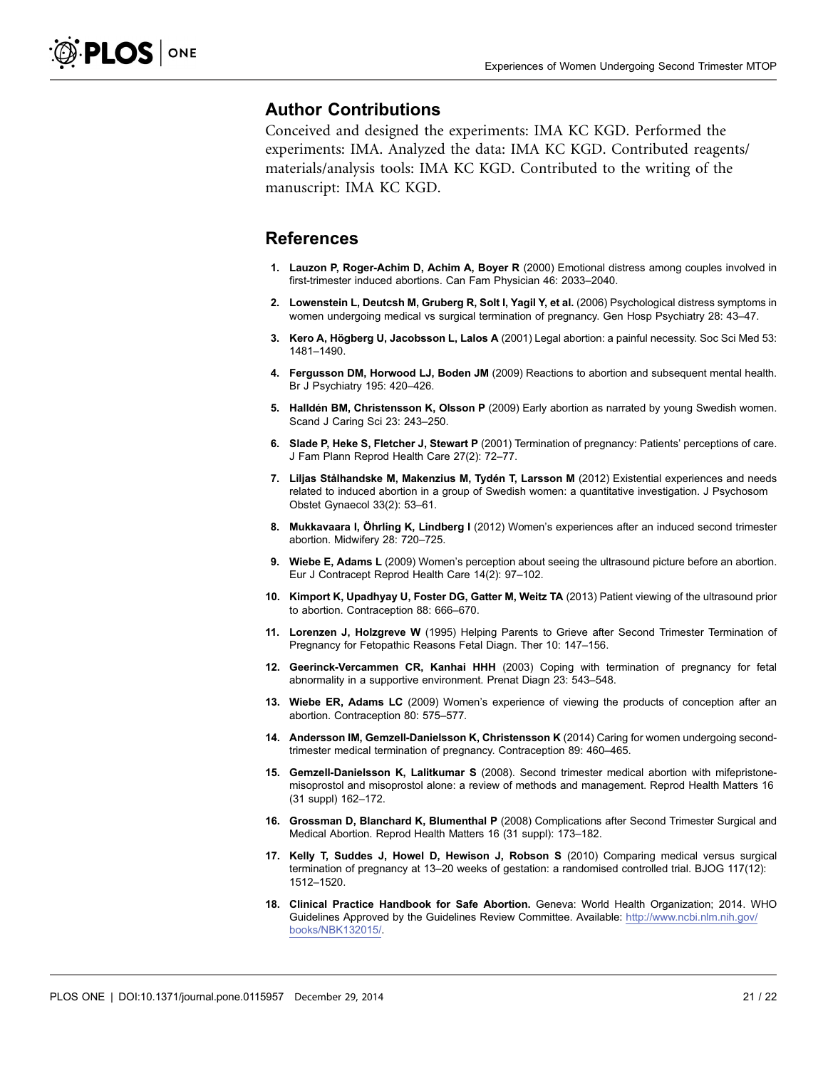### <span id="page-20-0"></span>Author Contributions

Conceived and designed the experiments: IMA KC KGD. Performed the experiments: IMA. Analyzed the data: IMA KC KGD. Contributed reagents/ materials/analysis tools: IMA KC KGD. Contributed to the writing of the manuscript: IMA KC KGD.

#### **References**

- 1. Lauzon P, Roger-Achim D, Achim A, Boyer R (2000) Emotional distress among couples involved in first-trimester induced abortions. Can Fam Physician 46: 2033–2040.
- 2. Lowenstein L, Deutcsh M, Gruberg R, Solt I, Yagil Y, et al. (2006) Psychological distress symptoms in women undergoing medical vs surgical termination of pregnancy. Gen Hosp Psychiatry 28: 43–47.
- 3. Kero A, Högberg U, Jacobsson L, Lalos A (2001) Legal abortion: a painful necessity. Soc Sci Med 53: 1481–1490.
- 4. Fergusson DM, Horwood LJ, Boden JM (2009) Reactions to abortion and subsequent mental health. Br J Psychiatry 195: 420–426.
- 5. Hallden BM, Christensson K, Olsson P (2009) Early abortion as narrated by young Swedish women. Scand J Caring Sci 23: 243–250.
- 6. Slade P, Heke S, Fletcher J, Stewart P (2001) Termination of pregnancy: Patients' perceptions of care. J Fam Plann Reprod Health Care 27(2): 72–77.
- 7. Liljas Stålhandske M, Makenzius M, Tydén T, Larsson M (2012) Existential experiences and needs related to induced abortion in a group of Swedish women: a quantitative investigation. J Psychosom Obstet Gynaecol 33(2): 53–61.
- 8. Mukkavaara I, Öhrling K, Lindberg I (2012) Women's experiences after an induced second trimester abortion. Midwifery 28: 720–725.
- 9. Wiebe E, Adams L (2009) Women's perception about seeing the ultrasound picture before an abortion. Eur J Contracept Reprod Health Care 14(2): 97–102.
- 10. Kimport K, Upadhyay U, Foster DG, Gatter M, Weitz TA (2013) Patient viewing of the ultrasound prior to abortion. Contraception 88: 666–670.
- 11. Lorenzen J, Holzgreve W (1995) Helping Parents to Grieve after Second Trimester Termination of Pregnancy for Fetopathic Reasons Fetal Diagn. Ther 10: 147–156.
- 12. Geerinck-Vercammen CR, Kanhai HHH (2003) Coping with termination of pregnancy for fetal abnormality in a supportive environment. Prenat Diagn 23: 543–548.
- 13. Wiebe ER, Adams LC (2009) Women's experience of viewing the products of conception after an abortion. Contraception 80: 575–577.
- 14. Andersson IM, Gemzell-Danielsson K, Christensson K (2014) Caring for women undergoing secondtrimester medical termination of pregnancy. Contraception 89: 460–465.
- 15. Gemzell-Danielsson K, Lalitkumar S (2008). Second trimester medical abortion with mifepristonemisoprostol and misoprostol alone: a review of methods and management. Reprod Health Matters 16 (31 suppl) 162–172.
- 16. Grossman D, Blanchard K, Blumenthal P (2008) Complications after Second Trimester Surgical and Medical Abortion. Reprod Health Matters 16 (31 suppl): 173–182.
- 17. Kelly T, Suddes J, Howel D, Hewison J, Robson S (2010) Comparing medical versus surgical termination of pregnancy at 13–20 weeks of gestation: a randomised controlled trial. BJOG 117(12): 1512–1520.
- 18. Clinical Practice Handbook for Safe Abortion. Geneva: World Health Organization; 2014. WHO Guidelines Approved by the Guidelines Review Committee. Available: [http://www.ncbi.nlm.nih.gov/](http://www.ncbi.nlm.nih.gov/books/NBK132015/) [books/NBK132015/](http://www.ncbi.nlm.nih.gov/books/NBK132015/).